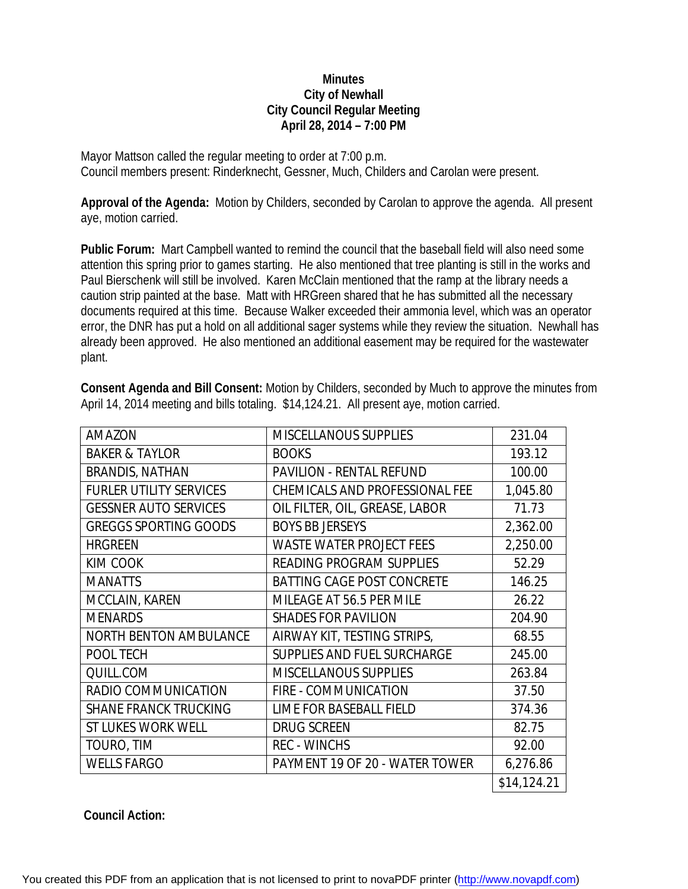## **Minutes City of Newhall City Council Regular Meeting April 28, 2014 – 7:00 PM**

Mayor Mattson called the regular meeting to order at 7:00 p.m. Council members present: Rinderknecht, Gessner, Much, Childers and Carolan were present.

**Approval of the Agenda:** Motion by Childers, seconded by Carolan to approve the agenda. All present aye, motion carried.

**Public Forum:** Mart Campbell wanted to remind the council that the baseball field will also need some attention this spring prior to games starting. He also mentioned that tree planting is still in the works and Paul Bierschenk will still be involved. Karen McClain mentioned that the ramp at the library needs a caution strip painted at the base. Matt with HRGreen shared that he has submitted all the necessary documents required at this time. Because Walker exceeded their ammonia level, which was an operator error, the DNR has put a hold on all additional sager systems while they review the situation. Newhall has already been approved. He also mentioned an additional easement may be required for the wastewater plant.

| <b>AMAZON</b>                  | <b>MISCELLANOUS SUPPLIES</b>      | 231.04      |
|--------------------------------|-----------------------------------|-------------|
| <b>BAKER &amp; TAYLOR</b>      | <b>BOOKS</b>                      | 193.12      |
| <b>BRANDIS, NATHAN</b>         | <b>PAVILION - RENTAL REFUND</b>   | 100.00      |
| <b>FURLER UTILITY SERVICES</b> | CHEMICALS AND PROFESSIONAL FEE    | 1,045.80    |
| <b>GESSNER AUTO SERVICES</b>   | OIL FILTER, OIL, GREASE, LABOR    | 71.73       |
| <b>GREGGS SPORTING GOODS</b>   | <b>BOYS BB JERSEYS</b>            | 2,362.00    |
| <b>HRGREEN</b>                 | <b>WASTE WATER PROJECT FEES</b>   | 2,250.00    |
| KIM COOK                       | <b>READING PROGRAM SUPPLIES</b>   | 52.29       |
| <b>MANATTS</b>                 | <b>BATTING CAGE POST CONCRETE</b> | 146.25      |
| MCCLAIN, KAREN                 | MILEAGE AT 56.5 PER MILE          | 26.22       |
| <b>MENARDS</b>                 | <b>SHADES FOR PAVILION</b>        | 204.90      |
| <b>NORTH BENTON AMBULANCE</b>  | AIRWAY KIT, TESTING STRIPS,       | 68.55       |
| POOL TECH                      | SUPPLIES AND FUEL SURCHARGE       | 245.00      |
| QUILL.COM                      | <b>MISCELLANOUS SUPPLIES</b>      | 263.84      |
| RADIO COMMUNICATION            | FIRE - COMMUNICATION              | 37.50       |
| <b>SHANE FRANCK TRUCKING</b>   | LIME FOR BASEBALL FIELD           | 374.36      |
| <b>ST LUKES WORK WELL</b>      | <b>DRUG SCREEN</b>                | 82.75       |
| TOURO, TIM                     | <b>REC - WINCHS</b>               | 92.00       |
| <b>WELLS FARGO</b>             | PAYMENT 19 OF 20 - WATER TOWER    | 6,276.86    |
|                                |                                   | \$14,124.21 |

**Consent Agenda and Bill Consent:** Motion by Childers, seconded by Much to approve the minutes from April 14, 2014 meeting and bills totaling. \$14,124.21. All present aye, motion carried.

## **Council Action:**